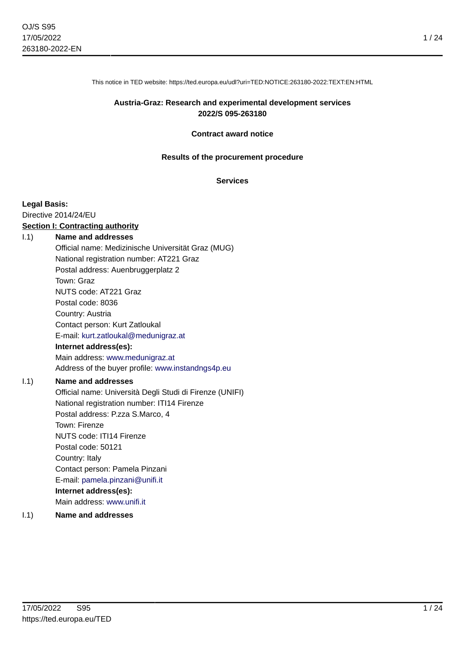1 / 24

This notice in TED website: https://ted.europa.eu/udl?uri=TED:NOTICE:263180-2022:TEXT:EN:HTML

#### **Austria-Graz: Research and experimental development services 2022/S 095-263180**

#### **Contract award notice**

#### **Results of the procurement procedure**

#### **Services**

#### **Legal Basis:**

Directive 2014/24/EU

#### **Section I: Contracting authority**

#### I.1) **Name and addresses**

Official name: Medizinische Universität Graz (MUG) National registration number: AT221 Graz Postal address: Auenbruggerplatz 2 Town: Graz NUTS code: AT221 Graz Postal code: 8036 Country: Austria Contact person: Kurt Zatloukal E-mail: [kurt.zatloukal@medunigraz.at](mailto:kurt.zatloukal@medunigraz.at) **Internet address(es):** Main address:<www.medunigraz.at>

Address of the buyer profile: <www.instandngs4p.eu>

#### I.1) **Name and addresses**

Official name: Università Degli Studi di Firenze (UNIFI) National registration number: ITI14 Firenze Postal address: P.zza S.Marco, 4 Town: Firenze NUTS code: ITI14 Firenze Postal code: 50121 Country: Italy Contact person: Pamela Pinzani E-mail: [pamela.pinzani@unifi.it](mailto:pamela.pinzani@unifi.it) **Internet address(es):** Main address:<www.unifi.it>

#### I.1) **Name and addresses**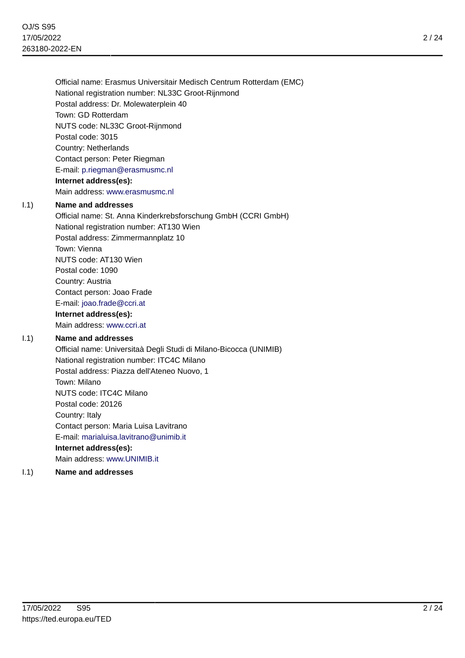Official name: Erasmus Universitair Medisch Centrum Rotterdam (EMC) National registration number: NL33C Groot-Rijnmond Postal address: Dr. Molewaterplein 40 Town: GD Rotterdam NUTS code: NL33C Groot-Rijnmond Postal code: 3015 Country: Netherlands Contact person: Peter Riegman E-mail: [p.riegman@erasmusmc.nl](mailto:p.riegman@erasmusmc.nl) **Internet address(es):** Main address:<www.erasmusmc.nl>

#### I.1) **Name and addresses**

Official name: St. Anna Kinderkrebsforschung GmbH (CCRI GmbH) National registration number: AT130 Wien Postal address: Zimmermannplatz 10 Town: Vienna NUTS code: AT130 Wien Postal code: 1090 Country: Austria Contact person: Joao Frade E-mail: [joao.frade@ccri.at](mailto:joao.frade@ccri.at) **Internet address(es):**

Main address:<www.ccri.at>

# I.1) **Name and addresses**

Official name: Universitaà Degli Studi di Milano-Bicocca (UNIMIB) National registration number: ITC4C Milano Postal address: Piazza dell'Ateneo Nuovo, 1 Town: Milano NUTS code: ITC4C Milano Postal code: 20126 Country: Italy Contact person: Maria Luisa Lavitrano E-mail: [marialuisa.lavitrano@unimib.it](mailto:marialuisa.lavitrano@unimib.it) **Internet address(es):** Main address:<www.UNIMIB.it>

# I.1) **Name and addresses**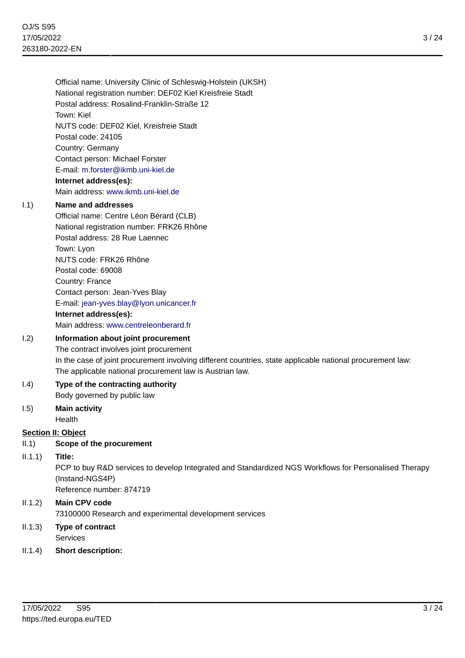Official name: University Clinic of Schleswig-Holstein (UKSH) National registration number: DEF02 Kiel Kreisfreie Stadt Postal address: Rosalind-Franklin-Straße 12 Town: Kiel NUTS code: DEF02 Kiel, Kreisfreie Stadt Postal code: 24105 Country: Germany Contact person: Michael Forster E-mail: [m.forster@ikmb.uni-kiel.de](mailto:m.forster@ikmb.uni-kiel.de) **Internet address(es):** Main address:<www.ikmb.uni-kiel.de>

#### I.1) **Name and addresses**

Official name: Centre Léon Bérard (CLB) National registration number: FRK26 Rhône Postal address: 28 Rue Laennec Town: Lyon NUTS code: FRK26 Rhône Postal code: 69008 Country: France Contact person: Jean-Yves Blay E-mail: [jean-yves.blay@lyon.unicancer.fr](mailto:jean-yves.blay@lyon.unicancer.fr) **Internet address(es):** Main address:<www.centreleonberard.fr>

# I.2) **Information about joint procurement**

The contract involves joint procurement In the case of joint procurement involving different countries, state applicable national procurement law: The applicable national procurement law is Austrian law.

# I.4) **Type of the contracting authority**

Body governed by public law

I.5) **Main activity** Health

# **Section II: Object**

# II.1) **Scope of the procurement**

II.1.1) **Title:**

PCP to buy R&D services to develop Integrated and Standardized NGS Workflows for Personalised Therapy (Instand-NGS4P)

Reference number: 874719

# II.1.2) **Main CPV code** 73100000 Research and experimental development services

- II.1.3) **Type of contract** Services
- II.1.4) **Short description:**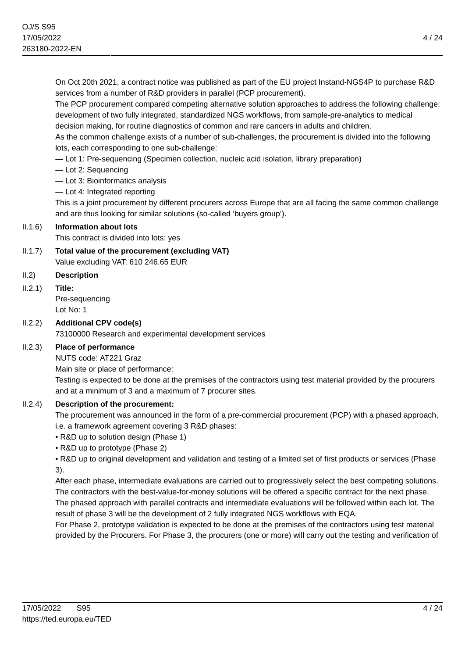On Oct 20th 2021, a contract notice was published as part of the EU project Instand-NGS4P to purchase R&D services from a number of R&D providers in parallel (PCP procurement).

The PCP procurement compared competing alternative solution approaches to address the following challenge: development of two fully integrated, standardized NGS workflows, from sample-pre-analytics to medical decision making, for routine diagnostics of common and rare cancers in adults and children.

As the common challenge exists of a number of sub-challenges, the procurement is divided into the following lots, each corresponding to one sub-challenge:

— Lot 1: Pre-sequencing (Specimen collection, nucleic acid isolation, library preparation)

- Lot 2: Sequencing
- Lot 3: Bioinformatics analysis
- Lot 4: Integrated reporting

This is a joint procurement by different procurers across Europe that are all facing the same common challenge and are thus looking for similar solutions (so-called 'buyers group').

# II.1.6) **Information about lots**

This contract is divided into lots: yes

- II.1.7) **Total value of the procurement (excluding VAT)** Value excluding VAT: 610 246.65 EUR
- II.2) **Description**

# II.2.1) **Title:**

Pre-sequencing Lot No: 1

# II.2.2) **Additional CPV code(s)**

73100000 Research and experimental development services

# II.2.3) **Place of performance**

NUTS code: AT221 Graz

Main site or place of performance:

Testing is expected to be done at the premises of the contractors using test material provided by the procurers and at a minimum of 3 and a maximum of 7 procurer sites.

# II.2.4) **Description of the procurement:**

The procurement was announced in the form of a pre-commercial procurement (PCP) with a phased approach, i.e. a framework agreement covering 3 R&D phases:

- R&D up to solution design (Phase 1)
- R&D up to prototype (Phase 2)

• R&D up to original development and validation and testing of a limited set of first products or services (Phase 3).

After each phase, intermediate evaluations are carried out to progressively select the best competing solutions. The contractors with the best-value-for-money solutions will be offered a specific contract for the next phase. The phased approach with parallel contracts and intermediate evaluations will be followed within each lot. The result of phase 3 will be the development of 2 fully integrated NGS workflows with EQA.

For Phase 2, prototype validation is expected to be done at the premises of the contractors using test material provided by the Procurers. For Phase 3, the procurers (one or more) will carry out the testing and verification of

4 / 24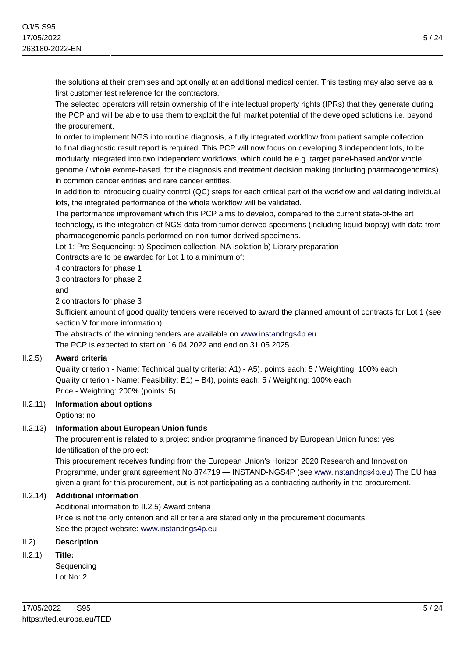the solutions at their premises and optionally at an additional medical center. This testing may also serve as a first customer test reference for the contractors.

The selected operators will retain ownership of the intellectual property rights (IPRs) that they generate during the PCP and will be able to use them to exploit the full market potential of the developed solutions i.e. beyond the procurement.

In order to implement NGS into routine diagnosis, a fully integrated workflow from patient sample collection to final diagnostic result report is required. This PCP will now focus on developing 3 independent lots, to be modularly integrated into two independent workflows, which could be e.g. target panel-based and/or whole genome / whole exome-based, for the diagnosis and treatment decision making (including pharmacogenomics) in common cancer entities and rare cancer entities.

In addition to introducing quality control (QC) steps for each critical part of the workflow and validating individual lots, the integrated performance of the whole workflow will be validated.

The performance improvement which this PCP aims to develop, compared to the current state-of-the art technology, is the integration of NGS data from tumor derived specimens (including liquid biopsy) with data from pharmacogenomic panels performed on non-tumor derived specimens.

Lot 1: Pre-Sequencing: a) Specimen collection, NA isolation b) Library preparation

Contracts are to be awarded for Lot 1 to a minimum of:

4 contractors for phase 1

#### 3 contractors for phase 2

and

2 contractors for phase 3

Sufficient amount of good quality tenders were received to award the planned amount of contracts for Lot 1 (see section V for more information).

The abstracts of the winning tenders are available on<www.instandngs4p.eu>. The PCP is expected to start on 16.04.2022 and end on 31.05.2025.

#### II.2.5) **Award criteria**

Quality criterion - Name: Technical quality criteria: A1) - A5), points each: 5 / Weighting: 100% each Quality criterion - Name: Feasibility: B1) – B4), points each: 5 / Weighting: 100% each Price - Weighting: 200% (points: 5)

# II.2.11) **Information about options**

Options: no

# II.2.13) **Information about European Union funds**

The procurement is related to a project and/or programme financed by European Union funds: yes Identification of the project:

This procurement receives funding from the European Union's Horizon 2020 Research and Innovation Programme, under grant agreement No 874719 — INSTAND-NGS4P (see <www.instandngs4p.eu>).The EU has given a grant for this procurement, but is not participating as a contracting authority in the procurement.

# II.2.14) **Additional information**

Additional information to II.2.5) Award criteria Price is not the only criterion and all criteria are stated only in the procurement documents. See the project website:<www.instandngs4p.eu>

# II.2) **Description**

II.2.1) **Title:**

Sequencing Lot No: 2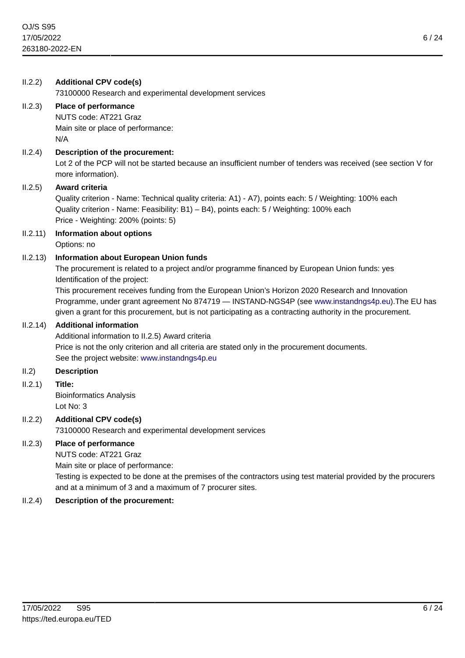| II.2.2)  | <b>Additional CPV code(s)</b><br>73100000 Research and experimental development services                                                                                                                                                                                                                                                                                                                                                                                                                 |
|----------|----------------------------------------------------------------------------------------------------------------------------------------------------------------------------------------------------------------------------------------------------------------------------------------------------------------------------------------------------------------------------------------------------------------------------------------------------------------------------------------------------------|
| II.2.3)  | Place of performance<br>NUTS code: AT221 Graz<br>Main site or place of performance:<br>N/A                                                                                                                                                                                                                                                                                                                                                                                                               |
| II.2.4)  | Description of the procurement:<br>Lot 2 of the PCP will not be started because an insufficient number of tenders was received (see section V for<br>more information).                                                                                                                                                                                                                                                                                                                                  |
| II.2.5)  | Award criteria<br>Quality criterion - Name: Technical quality criteria: A1) - A7), points each: 5 / Weighting: 100% each<br>Quality criterion - Name: Feasibility: B1) - B4), points each: 5 / Weighting: 100% each<br>Price - Weighting: 200% (points: 5)                                                                                                                                                                                                                                               |
| II.2.11) | <b>Information about options</b><br>Options: no                                                                                                                                                                                                                                                                                                                                                                                                                                                          |
| II.2.13) | <b>Information about European Union funds</b><br>The procurement is related to a project and/or programme financed by European Union funds: yes<br>Identification of the project:<br>This procurement receives funding from the European Union's Horizon 2020 Research and Innovation<br>Programme, under grant agreement No 874719 - INSTAND-NGS4P (see www.instandngs4p.eu). The EU has<br>given a grant for this procurement, but is not participating as a contracting authority in the procurement. |
| II.2.14) | <b>Additional information</b><br>Additional information to II.2.5) Award criteria<br>Price is not the only criterion and all criteria are stated only in the procurement documents.<br>See the project website: www.instandngs4p.eu                                                                                                                                                                                                                                                                      |
| II.2)    | <b>Description</b>                                                                                                                                                                                                                                                                                                                                                                                                                                                                                       |
| II.2.1)  | Title:<br><b>Bioinformatics Analysis</b><br>Lot No: 3                                                                                                                                                                                                                                                                                                                                                                                                                                                    |
| II.2.2)  | <b>Additional CPV code(s)</b><br>73100000 Research and experimental development services                                                                                                                                                                                                                                                                                                                                                                                                                 |
| II.2.3)  | Place of performance<br>NUTS code: AT221 Graz<br>Main site or place of performance:<br>Testing is expected to be done at the premises of the contractors using test material provided by the procurers<br>and at a minimum of 3 and a maximum of 7 procurer sites.                                                                                                                                                                                                                                       |
| II.2.4)  | Description of the procurement:                                                                                                                                                                                                                                                                                                                                                                                                                                                                          |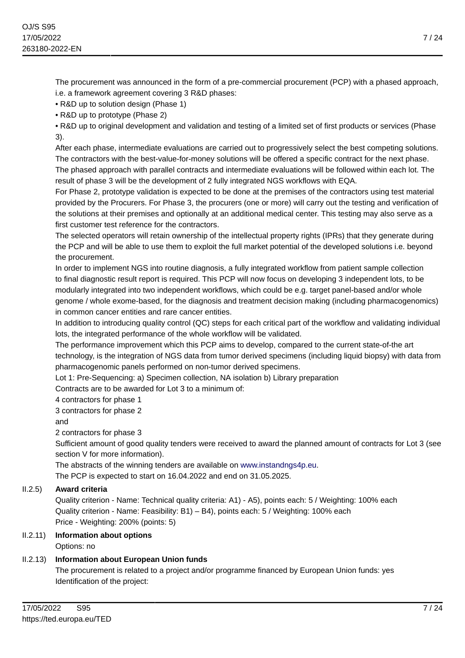The procurement was announced in the form of a pre-commercial procurement (PCP) with a phased approach, i.e. a framework agreement covering 3 R&D phases:

• R&D up to solution design (Phase 1)

• R&D up to prototype (Phase 2)

• R&D up to original development and validation and testing of a limited set of first products or services (Phase 3).

After each phase, intermediate evaluations are carried out to progressively select the best competing solutions. The contractors with the best-value-for-money solutions will be offered a specific contract for the next phase. The phased approach with parallel contracts and intermediate evaluations will be followed within each lot. The result of phase 3 will be the development of 2 fully integrated NGS workflows with EQA.

For Phase 2, prototype validation is expected to be done at the premises of the contractors using test material provided by the Procurers. For Phase 3, the procurers (one or more) will carry out the testing and verification of the solutions at their premises and optionally at an additional medical center. This testing may also serve as a first customer test reference for the contractors.

The selected operators will retain ownership of the intellectual property rights (IPRs) that they generate during the PCP and will be able to use them to exploit the full market potential of the developed solutions i.e. beyond the procurement.

In order to implement NGS into routine diagnosis, a fully integrated workflow from patient sample collection to final diagnostic result report is required. This PCP will now focus on developing 3 independent lots, to be modularly integrated into two independent workflows, which could be e.g. target panel-based and/or whole genome / whole exome-based, for the diagnosis and treatment decision making (including pharmacogenomics) in common cancer entities and rare cancer entities.

In addition to introducing quality control (QC) steps for each critical part of the workflow and validating individual lots, the integrated performance of the whole workflow will be validated.

The performance improvement which this PCP aims to develop, compared to the current state-of-the art technology, is the integration of NGS data from tumor derived specimens (including liquid biopsy) with data from pharmacogenomic panels performed on non-tumor derived specimens.

Lot 1: Pre-Sequencing: a) Specimen collection, NA isolation b) Library preparation

Contracts are to be awarded for Lot 3 to a minimum of:

4 contractors for phase 1

3 contractors for phase 2

and

2 contractors for phase 3

Sufficient amount of good quality tenders were received to award the planned amount of contracts for Lot 3 (see section V for more information).

The abstracts of the winning tenders are available on<www.instandngs4p.eu>.

The PCP is expected to start on 16.04.2022 and end on 31.05.2025.

# II.2.5) **Award criteria**

Quality criterion - Name: Technical quality criteria: A1) - A5), points each: 5 / Weighting: 100% each Quality criterion - Name: Feasibility: B1) – B4), points each: 5 / Weighting: 100% each Price - Weighting: 200% (points: 5)

# II.2.11) **Information about options** Options: no

# II.2.13) **Information about European Union funds**

The procurement is related to a project and/or programme financed by European Union funds: yes Identification of the project: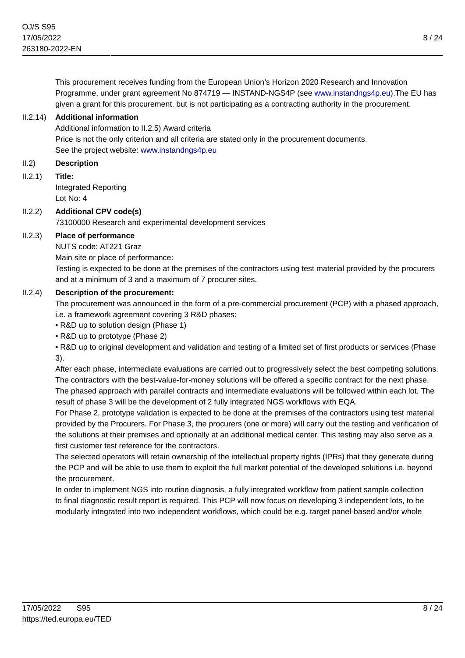This procurement receives funding from the European Union's Horizon 2020 Research and Innovation Programme, under grant agreement No 874719 — INSTAND-NGS4P (see <www.instandngs4p.eu>).The EU has given a grant for this procurement, but is not participating as a contracting authority in the procurement.

# II.2.14) **Additional information**

Additional information to II.2.5) Award criteria Price is not the only criterion and all criteria are stated only in the procurement documents. See the project website:<www.instandngs4p.eu>

## II.2) **Description**

II.2.1) **Title:**

Integrated Reporting Lot No: 4

# II.2.2) **Additional CPV code(s)**

73100000 Research and experimental development services

# II.2.3) **Place of performance**

NUTS code: AT221 Graz

Main site or place of performance:

Testing is expected to be done at the premises of the contractors using test material provided by the procurers and at a minimum of 3 and a maximum of 7 procurer sites.

# II.2.4) **Description of the procurement:**

The procurement was announced in the form of a pre-commercial procurement (PCP) with a phased approach, i.e. a framework agreement covering 3 R&D phases:

• R&D up to solution design (Phase 1)

• R&D up to prototype (Phase 2)

• R&D up to original development and validation and testing of a limited set of first products or services (Phase 3).

After each phase, intermediate evaluations are carried out to progressively select the best competing solutions. The contractors with the best-value-for-money solutions will be offered a specific contract for the next phase. The phased approach with parallel contracts and intermediate evaluations will be followed within each lot. The result of phase 3 will be the development of 2 fully integrated NGS workflows with EQA.

For Phase 2, prototype validation is expected to be done at the premises of the contractors using test material provided by the Procurers. For Phase 3, the procurers (one or more) will carry out the testing and verification of the solutions at their premises and optionally at an additional medical center. This testing may also serve as a first customer test reference for the contractors.

The selected operators will retain ownership of the intellectual property rights (IPRs) that they generate during the PCP and will be able to use them to exploit the full market potential of the developed solutions i.e. beyond the procurement.

In order to implement NGS into routine diagnosis, a fully integrated workflow from patient sample collection to final diagnostic result report is required. This PCP will now focus on developing 3 independent lots, to be modularly integrated into two independent workflows, which could be e.g. target panel-based and/or whole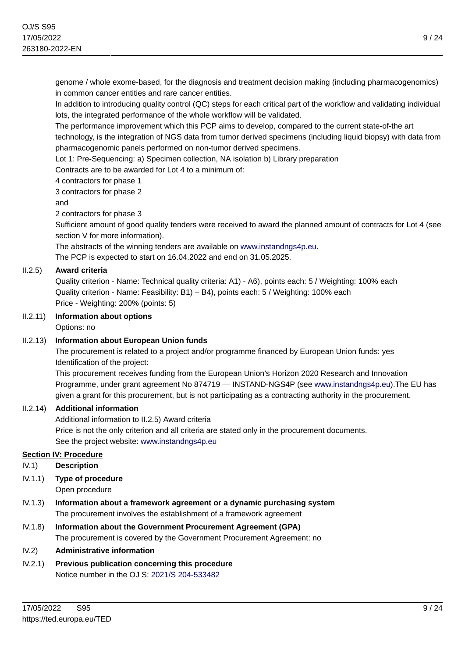genome / whole exome-based, for the diagnosis and treatment decision making (including pharmacogenomics) in common cancer entities and rare cancer entities.

In addition to introducing quality control (QC) steps for each critical part of the workflow and validating individual lots, the integrated performance of the whole workflow will be validated.

The performance improvement which this PCP aims to develop, compared to the current state-of-the art technology, is the integration of NGS data from tumor derived specimens (including liquid biopsy) with data from pharmacogenomic panels performed on non-tumor derived specimens.

Lot 1: Pre-Sequencing: a) Specimen collection, NA isolation b) Library preparation

Contracts are to be awarded for Lot 4 to a minimum of:

4 contractors for phase 1

3 contractors for phase 2

and

2 contractors for phase 3

Sufficient amount of good quality tenders were received to award the planned amount of contracts for Lot 4 (see section V for more information).

The abstracts of the winning tenders are available on<www.instandngs4p.eu>.

The PCP is expected to start on 16.04.2022 and end on 31.05.2025.

# II.2.5) **Award criteria**

Quality criterion - Name: Technical quality criteria: A1) - A6), points each: 5 / Weighting: 100% each Quality criterion - Name: Feasibility: B1) – B4), points each: 5 / Weighting: 100% each Price - Weighting: 200% (points: 5)

#### II.2.11) **Information about options**

Options: no

# II.2.13) **Information about European Union funds**

The procurement is related to a project and/or programme financed by European Union funds: yes Identification of the project:

This procurement receives funding from the European Union's Horizon 2020 Research and Innovation Programme, under grant agreement No 874719 — INSTAND-NGS4P (see <www.instandngs4p.eu>).The EU has given a grant for this procurement, but is not participating as a contracting authority in the procurement.

#### II.2.14) **Additional information**

Additional information to II.2.5) Award criteria Price is not the only criterion and all criteria are stated only in the procurement documents. See the project website:<www.instandngs4p.eu>

#### **Section IV: Procedure**

IV.1) **Description**

IV.1.1) **Type of procedure**

Open procedure

- IV.1.3) **Information about a framework agreement or a dynamic purchasing system** The procurement involves the establishment of a framework agreement
- IV.1.8) **Information about the Government Procurement Agreement (GPA)** The procurement is covered by the Government Procurement Agreement: no

#### IV.2) **Administrative information**

IV.2.1) **Previous publication concerning this procedure** Notice number in the OJ S: [2021/S 204-533482](https://ted.europa.eu/udl?uri=TED:NOTICE:533482-2021:TEXT:EN:HTML)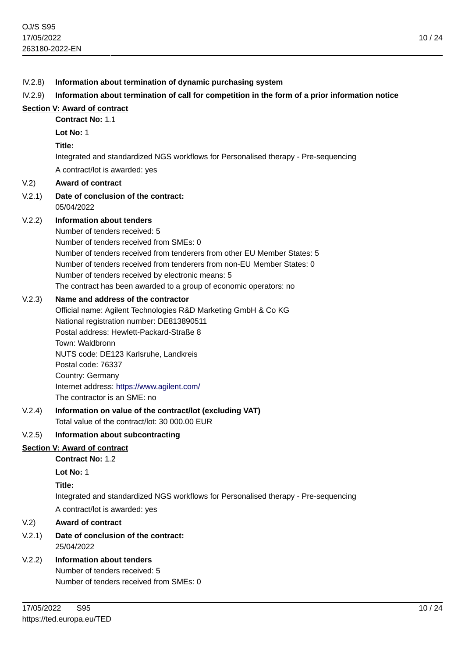# IV.2.8) **Information about termination of dynamic purchasing system** IV.2.9) **Information about termination of call for competition in the form of a prior information notice Section V: Award of contract Contract No:** 1.1 **Lot No:** 1 **Title:** Integrated and standardized NGS workflows for Personalised therapy - Pre-sequencing A contract/lot is awarded: yes V.2) **Award of contract** V.2.1) **Date of conclusion of the contract:** 05/04/2022 V.2.2) **Information about tenders** Number of tenders received: 5 Number of tenders received from SMEs: 0 Number of tenders received from tenderers from other EU Member States: 5 Number of tenders received from tenderers from non-EU Member States: 0 Number of tenders received by electronic means: 5 The contract has been awarded to a group of economic operators: no V.2.3) **Name and address of the contractor** Official name: Agilent Technologies R&D Marketing GmbH & Co KG National registration number: DE813890511 Postal address: Hewlett-Packard-Straße 8 Town: Waldbronn NUTS code: DE123 Karlsruhe, Landkreis Postal code: 76337 Country: Germany Internet address: <https://www.agilent.com/> The contractor is an SME: no V.2.4) **Information on value of the contract/lot (excluding VAT)** Total value of the contract/lot: 30 000.00 EUR V.2.5) **Information about subcontracting Section V: Award of contract Contract No:** 1.2 **Lot No:** 1 **Title:**

Integrated and standardized NGS workflows for Personalised therapy - Pre-sequencing A contract/lot is awarded: yes

# V.2) **Award of contract**

# V.2.1) **Date of conclusion of the contract:** 25/04/2022

# V.2.2) **Information about tenders**

Number of tenders received: 5 Number of tenders received from SMEs: 0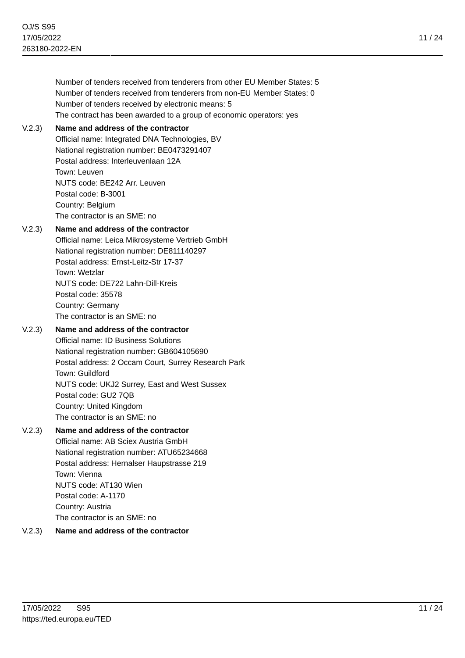| Number of tenders received from tenderers from other EU Member States: 5 |
|--------------------------------------------------------------------------|
| Number of tenders received from tenderers from non-EU Member States: 0   |
| Number of tenders received by electronic means: 5                        |
| The contract has been awarded to a group of economic operators: yes      |

#### V.2.3) **Name and address of the contractor**

Official name: Integrated DNA Technologies, BV National registration number: BE0473291407 Postal address: Interleuvenlaan 12A Town: Leuven NUTS code: BE242 Arr. Leuven Postal code: B-3001 Country: Belgium The contractor is an SME: no

#### V.2.3) **Name and address of the contractor**

Official name: Leica Mikrosysteme Vertrieb GmbH National registration number: DE811140297 Postal address: Ernst-Leitz-Str 17-37 Town: Wetzlar NUTS code: DE722 Lahn-Dill-Kreis Postal code: 35578 Country: Germany The contractor is an SME: no

# V.2.3) **Name and address of the contractor**

Official name: ID Business Solutions National registration number: GB604105690 Postal address: 2 Occam Court, Surrey Research Park Town: Guildford NUTS code: UKJ2 Surrey, East and West Sussex Postal code: GU2 7QB Country: United Kingdom The contractor is an SME: no

#### V.2.3) **Name and address of the contractor**

Official name: AB Sciex Austria GmbH National registration number: ATU65234668 Postal address: Hernalser Haupstrasse 219 Town: Vienna NUTS code: AT130 Wien Postal code: A-1170 Country: Austria The contractor is an SME: no

# V.2.3) **Name and address of the contractor**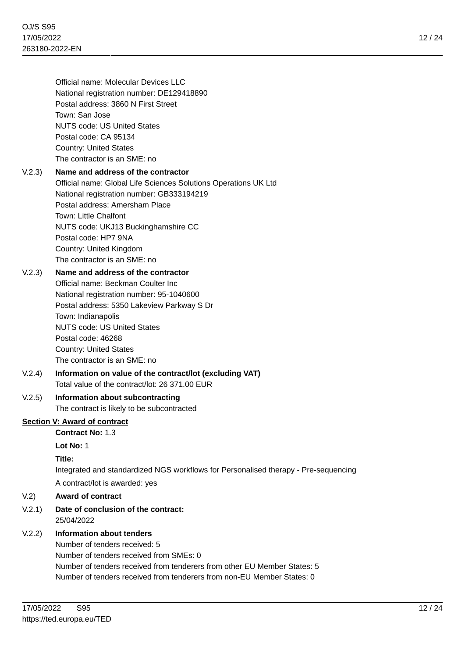Official name: Molecular Devices LLC National registration number: DE129418890 Postal address: 3860 N First Street Town: San Jose NUTS code: US United States Postal code: CA 95134 Country: United States The contractor is an SME: no

# V.2.3) **Name and address of the contractor** Official name: Global Life Sciences Solutions Operations UK Ltd

National registration number: GB333194219 Postal address: Amersham Place Town: Little Chalfont NUTS code: UKJ13 Buckinghamshire CC Postal code: HP7 9NA Country: United Kingdom The contractor is an SME: no

# V.2.3) **Name and address of the contractor**

Official name: Beckman Coulter Inc National registration number: 95-1040600 Postal address: 5350 Lakeview Parkway S Dr Town: Indianapolis NUTS code: US United States Postal code: 46268 Country: United States The contractor is an SME: no

# V.2.4) **Information on value of the contract/lot (excluding VAT)** Total value of the contract/lot: 26 371.00 EUR

# V.2.5) **Information about subcontracting**

The contract is likely to be subcontracted

# **Section V: Award of contract**

**Contract No:** 1.3

**Lot No:** 1

# **Title:**

Integrated and standardized NGS workflows for Personalised therapy - Pre-sequencing A contract/lot is awarded: yes

# V.2) **Award of contract**

# V.2.1) **Date of conclusion of the contract:**

25/04/2022

# V.2.2) **Information about tenders**

Number of tenders received: 5 Number of tenders received from SMEs: 0 Number of tenders received from tenderers from other EU Member States: 5 Number of tenders received from tenderers from non-EU Member States: 0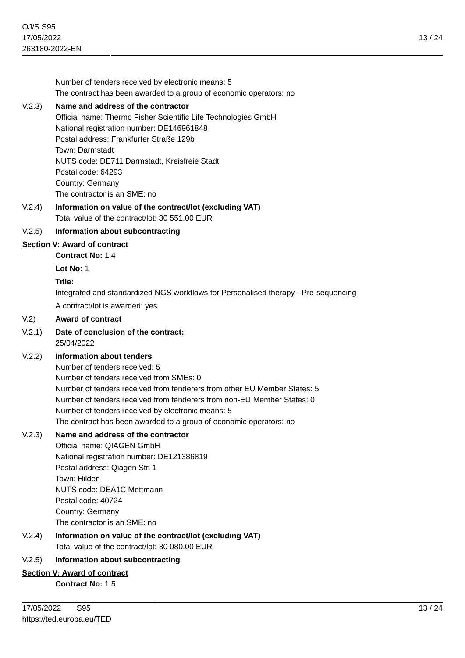Number of tenders received by electronic means: 5 The contract has been awarded to a group of economic operators: no V.2.3) **Name and address of the contractor** Official name: Thermo Fisher Scientific Life Technologies GmbH National registration number: DE146961848 Postal address: Frankfurter Straße 129b Town: Darmstadt NUTS code: DE711 Darmstadt, Kreisfreie Stadt Postal code: 64293 Country: Germany The contractor is an SME: no V.2.4) **Information on value of the contract/lot (excluding VAT)** Total value of the contract/lot: 30 551.00 EUR V.2.5) **Information about subcontracting Section V: Award of contract Contract No:** 1.4 **Lot No:** 1 **Title:** Integrated and standardized NGS workflows for Personalised therapy - Pre-sequencing A contract/lot is awarded: yes V.2) **Award of contract** V.2.1) **Date of conclusion of the contract:** 25/04/2022 V.2.2) **Information about tenders** Number of tenders received: 5 Number of tenders received from SMEs: 0 Number of tenders received from tenderers from other EU Member States: 5 Number of tenders received from tenderers from non-EU Member States: 0 Number of tenders received by electronic means: 5 The contract has been awarded to a group of economic operators: no V.2.3) **Name and address of the contractor** Official name: QIAGEN GmbH National registration number: DE121386819 Postal address: Qiagen Str. 1 Town: Hilden NUTS code: DEA1C Mettmann Postal code: 40724 Country: Germany The contractor is an SME: no V.2.4) **Information on value of the contract/lot (excluding VAT)** Total value of the contract/lot: 30 080.00 EUR V.2.5) **Information about subcontracting Section V: Award of contract Contract No:** 1.5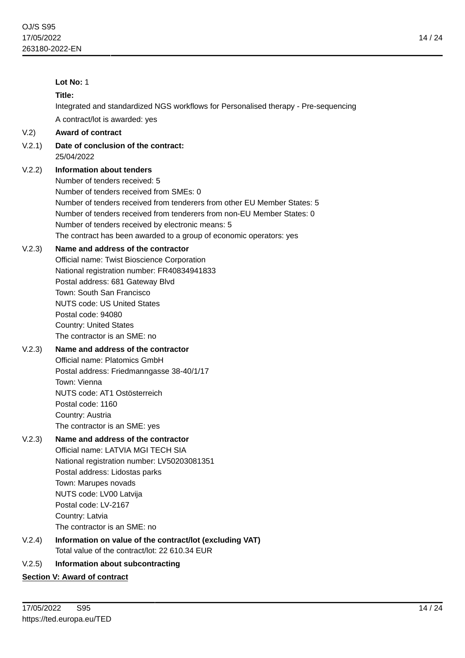|        | Lot No: 1                                                                                                                                                                                                                                                                                                                                                                               |
|--------|-----------------------------------------------------------------------------------------------------------------------------------------------------------------------------------------------------------------------------------------------------------------------------------------------------------------------------------------------------------------------------------------|
|        | Title:                                                                                                                                                                                                                                                                                                                                                                                  |
|        | Integrated and standardized NGS workflows for Personalised therapy - Pre-sequencing                                                                                                                                                                                                                                                                                                     |
|        | A contract/lot is awarded: yes                                                                                                                                                                                                                                                                                                                                                          |
| V.2)   | <b>Award of contract</b>                                                                                                                                                                                                                                                                                                                                                                |
| V.2.1) | Date of conclusion of the contract:<br>25/04/2022                                                                                                                                                                                                                                                                                                                                       |
| V.2.2) | Information about tenders<br>Number of tenders received: 5<br>Number of tenders received from SMEs: 0<br>Number of tenders received from tenderers from other EU Member States: 5<br>Number of tenders received from tenderers from non-EU Member States: 0<br>Number of tenders received by electronic means: 5<br>The contract has been awarded to a group of economic operators: yes |
| V.2.3) | Name and address of the contractor<br>Official name: Twist Bioscience Corporation<br>National registration number: FR40834941833<br>Postal address: 681 Gateway Blvd<br>Town: South San Francisco<br><b>NUTS code: US United States</b><br>Postal code: 94080<br><b>Country: United States</b><br>The contractor is an SME: no                                                          |
| V.2.3) | Name and address of the contractor<br>Official name: Platomics GmbH<br>Postal address: Friedmanngasse 38-40/1/17<br>Town: Vienna<br>NUTS code: AT1 Ostösterreich<br>Postal code: 1160<br>Country: Austria<br>The contractor is an SME: yes                                                                                                                                              |
| V.2.3) | Name and address of the contractor<br>Official name: LATVIA MGI TECH SIA<br>National registration number: LV50203081351<br>Postal address: Lidostas parks<br>Town: Marupes novads<br>NUTS code: LV00 Latvija<br>Postal code: LV-2167<br>Country: Latvia<br>The contractor is an SME: no                                                                                                 |
| V.2.4) | Information on value of the contract/lot (excluding VAT)<br>Total value of the contract/lot: 22 610.34 EUR                                                                                                                                                                                                                                                                              |
| V.2.5) | Information about subcontracting                                                                                                                                                                                                                                                                                                                                                        |
|        | <b>Section V: Award of contract</b>                                                                                                                                                                                                                                                                                                                                                     |
|        |                                                                                                                                                                                                                                                                                                                                                                                         |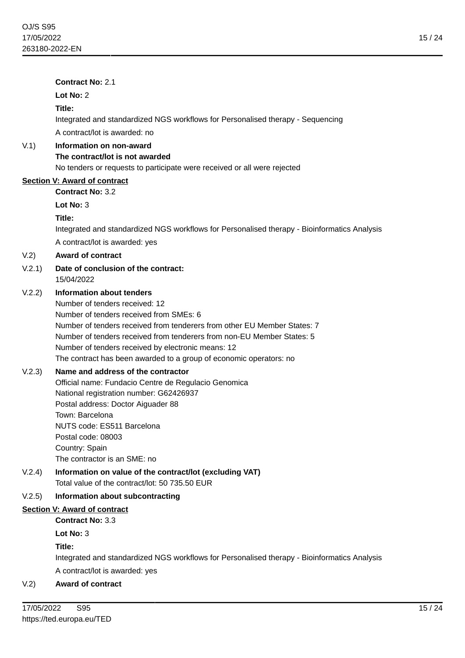|        | <b>Contract No: 2.1</b>                                                                                                                                                                                                                                                                                                                                                                         |
|--------|-------------------------------------------------------------------------------------------------------------------------------------------------------------------------------------------------------------------------------------------------------------------------------------------------------------------------------------------------------------------------------------------------|
|        | Lot No: 2                                                                                                                                                                                                                                                                                                                                                                                       |
|        | Title:                                                                                                                                                                                                                                                                                                                                                                                          |
|        | Integrated and standardized NGS workflows for Personalised therapy - Sequencing                                                                                                                                                                                                                                                                                                                 |
|        | A contract/lot is awarded: no                                                                                                                                                                                                                                                                                                                                                                   |
| V(1)   | Information on non-award                                                                                                                                                                                                                                                                                                                                                                        |
|        | The contract/lot is not awarded                                                                                                                                                                                                                                                                                                                                                                 |
|        | No tenders or requests to participate were received or all were rejected                                                                                                                                                                                                                                                                                                                        |
|        | <b>Section V: Award of contract</b><br><b>Contract No: 3.2</b>                                                                                                                                                                                                                                                                                                                                  |
|        | Lot No: 3                                                                                                                                                                                                                                                                                                                                                                                       |
|        | Title:                                                                                                                                                                                                                                                                                                                                                                                          |
|        | Integrated and standardized NGS workflows for Personalised therapy - Bioinformatics Analysis                                                                                                                                                                                                                                                                                                    |
|        | A contract/lot is awarded: yes                                                                                                                                                                                                                                                                                                                                                                  |
| V.2)   | <b>Award of contract</b>                                                                                                                                                                                                                                                                                                                                                                        |
| V.2.1) | Date of conclusion of the contract:<br>15/04/2022                                                                                                                                                                                                                                                                                                                                               |
| V.2.2) | <b>Information about tenders</b><br>Number of tenders received: 12<br>Number of tenders received from SMEs: 6<br>Number of tenders received from tenderers from other EU Member States: 7<br>Number of tenders received from tenderers from non-EU Member States: 5<br>Number of tenders received by electronic means: 12<br>The contract has been awarded to a group of economic operators: no |
| V.2.3) | Name and address of the contractor<br>Official name: Fundacio Centre de Regulacio Genomica<br>National registration number: G62426937<br>Postal address: Doctor Aiguader 88<br>Town: Barcelona<br>NUTS code: ES511 Barcelona<br>Postal code: 08003                                                                                                                                              |
|        | Country: Spain<br>The contractor is an SME: no                                                                                                                                                                                                                                                                                                                                                  |
| V.2.4) | Information on value of the contract/lot (excluding VAT)<br>Total value of the contract/lot: 50 735.50 EUR                                                                                                                                                                                                                                                                                      |
| V.2.5) | Information about subcontracting                                                                                                                                                                                                                                                                                                                                                                |
|        | <b>Section V: Award of contract</b>                                                                                                                                                                                                                                                                                                                                                             |
|        | <b>Contract No: 3.3</b>                                                                                                                                                                                                                                                                                                                                                                         |
|        | Lot No: 3                                                                                                                                                                                                                                                                                                                                                                                       |
|        | Title:<br>Integrated and standardized NGS workflows for Personalised therapy - Bioinformatics Analysis                                                                                                                                                                                                                                                                                          |

A contract/lot is awarded: yes

# V.2) **Award of contract**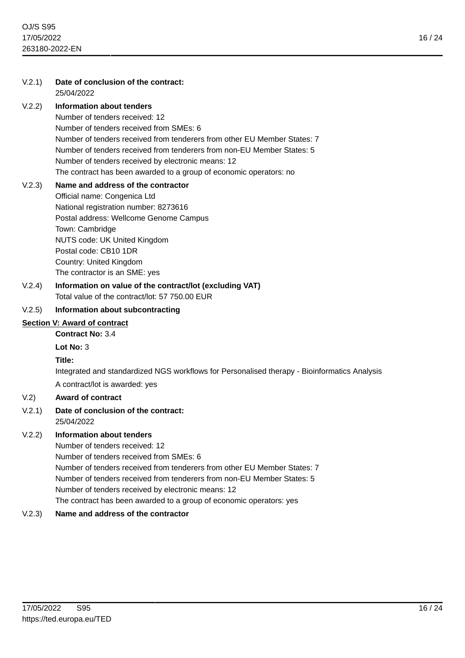# V.2.1) **Date of conclusion of the contract:** 25/04/2022 V.2.2) **Information about tenders** Number of tenders received: 12 Number of tenders received from SMEs: 6 Number of tenders received from tenderers from other EU Member States: 7 Number of tenders received from tenderers from non-EU Member States: 5 Number of tenders received by electronic means: 12 The contract has been awarded to a group of economic operators: no V.2.3) **Name and address of the contractor** Official name: Congenica Ltd National registration number: 8273616 Postal address: Wellcome Genome Campus Town: Cambridge NUTS code: UK United Kingdom Postal code: CB10 1DR Country: United Kingdom The contractor is an SME: yes V.2.4) **Information on value of the contract/lot (excluding VAT)** Total value of the contract/lot: 57 750.00 EUR V.2.5) **Information about subcontracting Section V: Award of contract Contract No:** 3.4 **Lot No:** 3 **Title:**

Integrated and standardized NGS workflows for Personalised therapy - Bioinformatics Analysis

A contract/lot is awarded: yes

# V.2) **Award of contract**

#### V.2.1) **Date of conclusion of the contract:** 25/04/2022

# V.2.2) **Information about tenders**

Number of tenders received: 12 Number of tenders received from SMEs: 6 Number of tenders received from tenderers from other EU Member States: 7 Number of tenders received from tenderers from non-EU Member States: 5 Number of tenders received by electronic means: 12 The contract has been awarded to a group of economic operators: yes

# V.2.3) **Name and address of the contractor**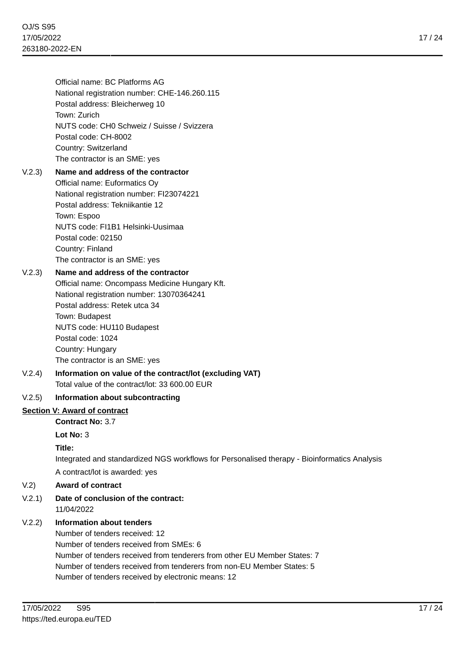Official name: BC Platforms AG National registration number: CHE-146.260.115 Postal address: Bleicherweg 10 Town: Zurich NUTS code: CH0 Schweiz / Suisse / Svizzera Postal code: CH-8002 Country: Switzerland The contractor is an SME: yes

# V.2.3) **Name and address of the contractor**

Official name: Euformatics Oy National registration number: FI23074221 Postal address: Tekniikantie 12 Town: Espoo NUTS code: FI1B1 Helsinki-Uusimaa Postal code: 02150 Country: Finland The contractor is an SME: yes

# V.2.3) **Name and address of the contractor**

Official name: Oncompass Medicine Hungary Kft. National registration number: 13070364241 Postal address: Retek utca 34 Town: Budapest NUTS code: HU110 Budapest Postal code: 1024 Country: Hungary The contractor is an SME: yes

#### V.2.4) **Information on value of the contract/lot (excluding VAT)** Total value of the contract/lot: 33 600.00 EUR

# V.2.5) **Information about subcontracting**

# **Section V: Award of contract**

**Contract No:** 3.7

**Lot No:** 3

#### **Title:**

Integrated and standardized NGS workflows for Personalised therapy - Bioinformatics Analysis A contract/lot is awarded: yes

#### V.2) **Award of contract**

V.2.1) **Date of conclusion of the contract:** 11/04/2022

# V.2.2) **Information about tenders**

Number of tenders received: 12 Number of tenders received from SMEs: 6 Number of tenders received from tenderers from other EU Member States: 7 Number of tenders received from tenderers from non-EU Member States: 5 Number of tenders received by electronic means: 12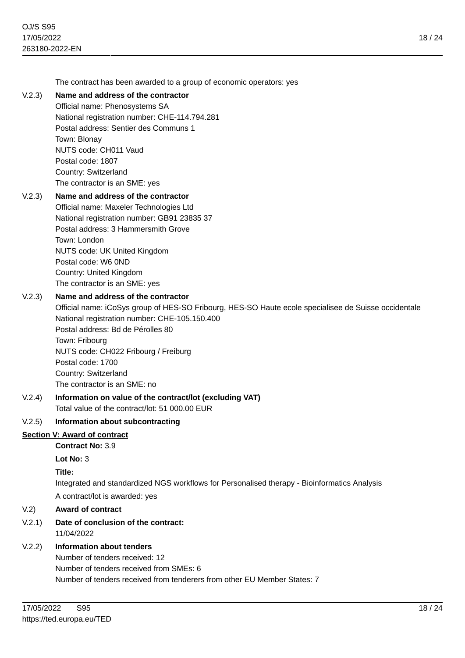The contract has been awarded to a group of economic operators: yes

#### V.2.3) **Name and address of the contractor**

Official name: Phenosystems SA National registration number: CHE-114.794.281 Postal address: Sentier des Communs 1 Town: Blonay NUTS code: CH011 Vaud Postal code: 1807 Country: Switzerland The contractor is an SME: yes

# V.2.3) **Name and address of the contractor**

Official name: Maxeler Technologies Ltd National registration number: GB91 23835 37 Postal address: 3 Hammersmith Grove Town: London NUTS code: UK United Kingdom Postal code: W6 0ND Country: United Kingdom The contractor is an SME: yes

#### V.2.3) **Name and address of the contractor**

Official name: iCoSys group of HES-SO Fribourg, HES-SO Haute ecole specialisee de Suisse occidentale National registration number: CHE-105.150.400 Postal address: Bd de Pérolles 80 Town: Fribourg

NUTS code: CH022 Fribourg / Freiburg Postal code: 1700 Country: Switzerland The contractor is an SME: no

V.2.4) **Information on value of the contract/lot (excluding VAT)** Total value of the contract/lot: 51 000.00 EUR

#### V.2.5) **Information about subcontracting**

#### **Section V: Award of contract**

**Contract No:** 3.9

**Lot No:** 3

**Title:**

Integrated and standardized NGS workflows for Personalised therapy - Bioinformatics Analysis A contract/lot is awarded: yes

#### V.2) **Award of contract**

# V.2.1) **Date of conclusion of the contract:**

11/04/2022

# V.2.2) **Information about tenders**

Number of tenders received: 12 Number of tenders received from SMEs: 6 Number of tenders received from tenderers from other EU Member States: 7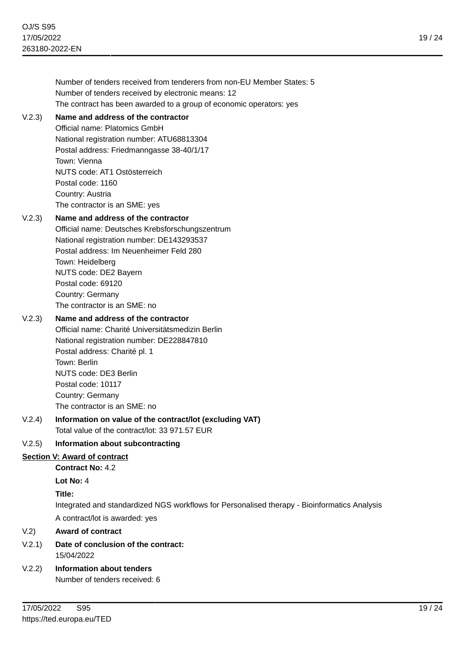Number of tenders received from tenderers from non-EU Member States: 5 Number of tenders received by electronic means: 12 The contract has been awarded to a group of economic operators: yes V.2.3) **Name and address of the contractor** National registration number: ATU68813304 Postal address: Friedmanngasse 38-40/1/17

Postal code: 1160 Country: Austria The contractor is an SME: yes

Town: Vienna

Official name: Platomics GmbH

NUTS code: AT1 Ostösterreich

#### V.2.3) **Name and address of the contractor**

Official name: Deutsches Krebsforschungszentrum National registration number: DE143293537 Postal address: Im Neuenheimer Feld 280 Town: Heidelberg NUTS code: DE2 Bayern Postal code: 69120 Country: Germany The contractor is an SME: no

#### V.2.3) **Name and address of the contractor**

Official name: Charité Universitätsmedizin Berlin National registration number: DE228847810 Postal address: Charité pl. 1 Town: Berlin NUTS code: DE3 Berlin Postal code: 10117 Country: Germany The contractor is an SME: no

# V.2.4) **Information on value of the contract/lot (excluding VAT)** Total value of the contract/lot: 33 971.57 EUR

# V.2.5) **Information about subcontracting**

# **Section V: Award of contract**

**Contract No:** 4.2

**Lot No:** 4

# **Title:**

Integrated and standardized NGS workflows for Personalised therapy - Bioinformatics Analysis

A contract/lot is awarded: yes

# V.2) **Award of contract**

- V.2.1) **Date of conclusion of the contract:** 15/04/2022
- V.2.2) **Information about tenders**

Number of tenders received: 6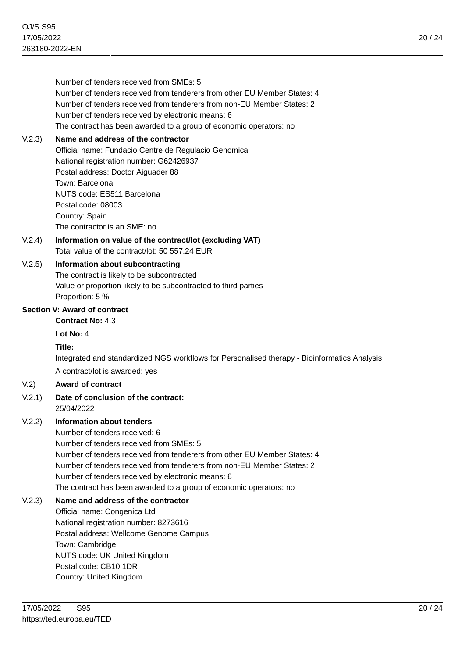Number of tenders received from SMEs: 5 Number of tenders received from tenderers from other EU Member States: 4 Number of tenders received from tenderers from non-EU Member States: 2 Number of tenders received by electronic means: 6 The contract has been awarded to a group of economic operators: no

# V.2.3) **Name and address of the contractor**

Official name: Fundacio Centre de Regulacio Genomica National registration number: G62426937 Postal address: Doctor Aiguader 88 Town: Barcelona NUTS code: ES511 Barcelona Postal code: 08003 Country: Spain The contractor is an SME: no

V.2.4) **Information on value of the contract/lot (excluding VAT)** Total value of the contract/lot: 50 557.24 EUR

# V.2.5) **Information about subcontracting**

The contract is likely to be subcontracted Value or proportion likely to be subcontracted to third parties Proportion: 5 %

# **Section V: Award of contract**

**Contract No:** 4.3

# **Lot No:** 4

# **Title:**

Integrated and standardized NGS workflows for Personalised therapy - Bioinformatics Analysis A contract/lot is awarded: yes

# V.2) **Award of contract**

#### V.2.1) **Date of conclusion of the contract:** 25/04/2022

# V.2.2) **Information about tenders**

Number of tenders received: 6 Number of tenders received from SMEs: 5 Number of tenders received from tenderers from other EU Member States: 4 Number of tenders received from tenderers from non-EU Member States: 2 Number of tenders received by electronic means: 6 The contract has been awarded to a group of economic operators: no

# V.2.3) **Name and address of the contractor**

Official name: Congenica Ltd National registration number: 8273616 Postal address: Wellcome Genome Campus Town: Cambridge NUTS code: UK United Kingdom Postal code: CB10 1DR Country: United Kingdom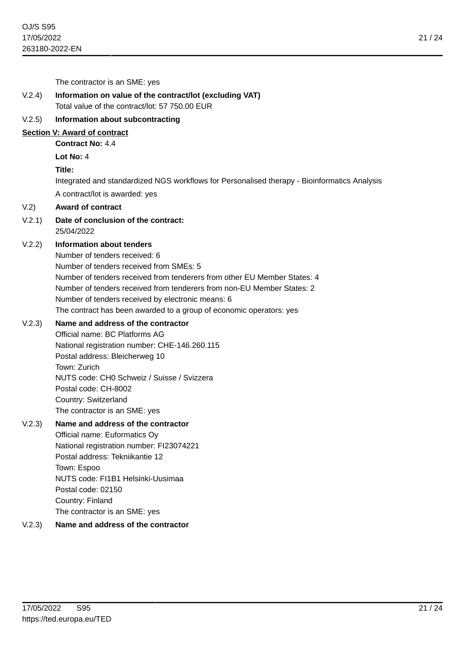The contractor is an SME: yes V.2.4) **Information on value of the contract/lot (excluding VAT)** Total value of the contract/lot: 57 750.00 EUR V.2.5) **Information about subcontracting Section V: Award of contract**

**Contract No:** 4.4

**Lot No:** 4

#### **Title:**

Integrated and standardized NGS workflows for Personalised therapy - Bioinformatics Analysis A contract/lot is awarded: yes

#### V.2) **Award of contract**

V.2.1) **Date of conclusion of the contract:** 25/04/2022

# V.2.2) **Information about tenders**

Number of tenders received: 6 Number of tenders received from SMEs: 5 Number of tenders received from tenderers from other EU Member States: 4 Number of tenders received from tenderers from non-EU Member States: 2 Number of tenders received by electronic means: 6 The contract has been awarded to a group of economic operators: yes

#### V.2.3) **Name and address of the contractor**

Official name: BC Platforms AG National registration number: CHE-146.260.115 Postal address: Bleicherweg 10 Town: Zurich NUTS code: CH0 Schweiz / Suisse / Svizzera Postal code: CH-8002 Country: Switzerland The contractor is an SME: yes

# V.2.3) **Name and address of the contractor**

Official name: Euformatics Oy National registration number: FI23074221 Postal address: Tekniikantie 12 Town: Espoo NUTS code: FI1B1 Helsinki-Uusimaa Postal code: 02150 Country: Finland The contractor is an SME: yes

# V.2.3) **Name and address of the contractor**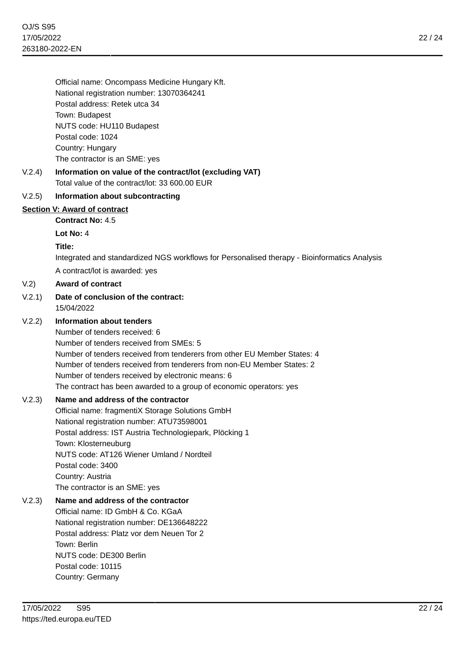Official name: Oncompass Medicine Hungary Kft. National registration number: 13070364241 Postal address: Retek utca 34 Town: Budapest NUTS code: HU110 Budapest Postal code: 1024 Country: Hungary The contractor is an SME: yes

# V.2.4) **Information on value of the contract/lot (excluding VAT)** Total value of the contract/lot: 33 600.00 EUR

#### V.2.5) **Information about subcontracting**

#### **Section V: Award of contract**

**Contract No:** 4.5

**Lot No:** 4

**Title:**

Integrated and standardized NGS workflows for Personalised therapy - Bioinformatics Analysis

A contract/lot is awarded: yes

#### V.2) **Award of contract**

V.2.1) **Date of conclusion of the contract:** 15/04/2022

# V.2.2) **Information about tenders**

Number of tenders received: 6 Number of tenders received from SMEs: 5 Number of tenders received from tenderers from other EU Member States: 4 Number of tenders received from tenderers from non-EU Member States: 2 Number of tenders received by electronic means: 6 The contract has been awarded to a group of economic operators: yes

# V.2.3) **Name and address of the contractor**

Official name: fragmentiX Storage Solutions GmbH National registration number: ATU73598001 Postal address: IST Austria Technologiepark, Plöcking 1 Town: Klosterneuburg NUTS code: AT126 Wiener Umland / Nordteil Postal code: 3400 Country: Austria The contractor is an SME: yes

# V.2.3) **Name and address of the contractor**

Official name: ID GmbH & Co. KGaA National registration number: DE136648222 Postal address: Platz vor dem Neuen Tor 2 Town: Berlin NUTS code: DE300 Berlin Postal code: 10115 Country: Germany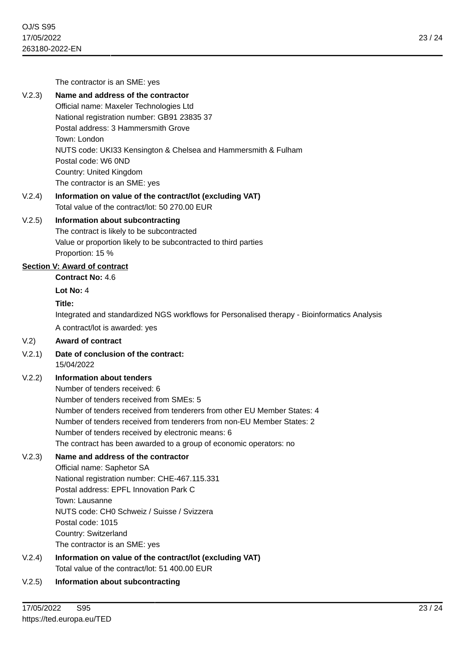The contractor is an SME: yes

# V.2.3) **Name and address of the contractor**

Official name: Maxeler Technologies Ltd National registration number: GB91 23835 37 Postal address: 3 Hammersmith Grove Town: London NUTS code: UKI33 Kensington & Chelsea and Hammersmith & Fulham Postal code: W6 0ND Country: United Kingdom The contractor is an SME: yes

# V.2.4) **Information on value of the contract/lot (excluding VAT)** Total value of the contract/lot: 50 270.00 EUR

#### V.2.5) **Information about subcontracting**

The contract is likely to be subcontracted Value or proportion likely to be subcontracted to third parties Proportion: 15 %

#### **Section V: Award of contract**

**Contract No:** 4.6

**Lot No:** 4

#### **Title:**

Integrated and standardized NGS workflows for Personalised therapy - Bioinformatics Analysis

A contract/lot is awarded: yes

#### V.2) **Award of contract**

V.2.1) **Date of conclusion of the contract:** 15/04/2022

# V.2.2) **Information about tenders**

Number of tenders received: 6 Number of tenders received from SMEs: 5 Number of tenders received from tenderers from other EU Member States: 4 Number of tenders received from tenderers from non-EU Member States: 2 Number of tenders received by electronic means: 6 The contract has been awarded to a group of economic operators: no

# V.2.3) **Name and address of the contractor**

Official name: Saphetor SA National registration number: CHE-467.115.331 Postal address: EPFL Innovation Park C Town: Lausanne NUTS code: CH0 Schweiz / Suisse / Svizzera Postal code: 1015 Country: Switzerland The contractor is an SME: yes

V.2.4) **Information on value of the contract/lot (excluding VAT)** Total value of the contract/lot: 51 400.00 EUR

#### V.2.5) **Information about subcontracting**